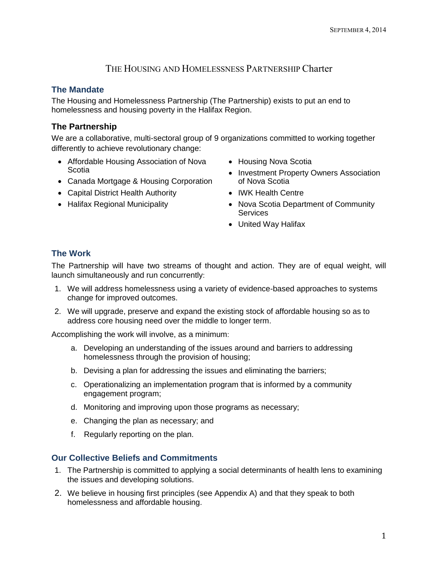# THE HOUSING AND HOMELESSNESS PARTNERSHIP Charter

### **The Mandate**

The Housing and Homelessness Partnership (The Partnership) exists to put an end to homelessness and housing poverty in the Halifax Region.

### **The Partnership**

We are a collaborative, multi-sectoral group of 9 organizations committed to working together differently to achieve revolutionary change:

- Affordable Housing Association of Nova **Scotia**
- Canada Mortgage & Housing Corporation
- Capital District Health Authority
- Halifax Regional Municipality
- Housing Nova Scotia
- Investment Property Owners Association of Nova Scotia
- IWK Health Centre
- Nova Scotia Department of Community **Services**
- United Way Halifax

## **The Work**

The Partnership will have two streams of thought and action. They are of equal weight, will launch simultaneously and run concurrently:

- 1. We will address homelessness using a variety of evidence-based approaches to systems change for improved outcomes.
- 2. We will upgrade, preserve and expand the existing stock of affordable housing so as to address core housing need over the middle to longer term.

Accomplishing the work will involve, as a minimum:

- a. Developing an understanding of the issues around and barriers to addressing homelessness through the provision of housing;
- b. Devising a plan for addressing the issues and eliminating the barriers;
- c. Operationalizing an implementation program that is informed by a community engagement program;
- d. Monitoring and improving upon those programs as necessary;
- e. Changing the plan as necessary; and
- f. Regularly reporting on the plan.

#### **Our Collective Beliefs and Commitments**

- 1. The Partnership is committed to applying a social determinants of health lens to examining the issues and developing solutions.
- 2. We believe in housing first principles (see Appendix A) and that they speak to both homelessness and affordable housing.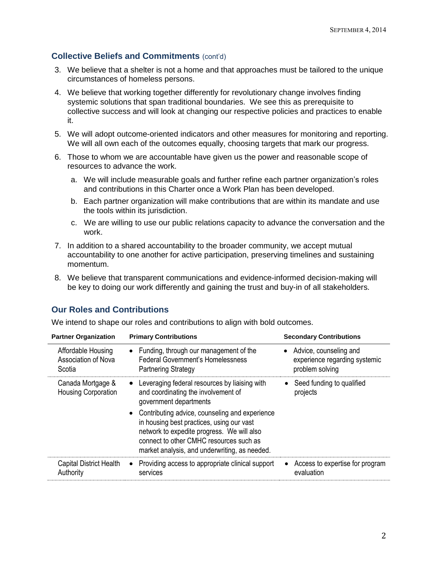### **Collective Beliefs and Commitments** (cont'd)

- 3. We believe that a shelter is not a home and that approaches must be tailored to the unique circumstances of homeless persons.
- 4. We believe that working together differently for revolutionary change involves finding systemic solutions that span traditional boundaries. We see this as prerequisite to collective success and will look at changing our respective policies and practices to enable it.
- 5. We will adopt outcome-oriented indicators and other measures for monitoring and reporting. We will all own each of the outcomes equally, choosing targets that mark our progress.
- 6. Those to whom we are accountable have given us the power and reasonable scope of resources to advance the work.
	- a. We will include measurable goals and further refine each partner organization's roles and contributions in this Charter once a Work Plan has been developed.
	- b. Each partner organization will make contributions that are within its mandate and use the tools within its jurisdiction.
	- c. We are willing to use our public relations capacity to advance the conversation and the work.
- 7. In addition to a shared accountability to the broader community, we accept mutual accountability to one another for active participation, preserving timelines and sustaining momentum.
- 8. We believe that transparent communications and evidence-informed decision-making will be key to doing our work differently and gaining the trust and buy-in of all stakeholders.

### **Our Roles and Contributions**

We intend to shape our roles and contributions to align with bold outcomes.

| <b>Partner Organization</b>                                | <b>Primary Contributions</b>                                                                                                                                                                                                            | <b>Secondary Contributions</b>                                               |
|------------------------------------------------------------|-----------------------------------------------------------------------------------------------------------------------------------------------------------------------------------------------------------------------------------------|------------------------------------------------------------------------------|
| Affordable Housing<br><b>Association of Nova</b><br>Scotia | • Funding, through our management of the<br><b>Federal Government's Homelessness</b><br><b>Partnering Strategy</b>                                                                                                                      | • Advice, counseling and<br>experience regarding systemic<br>problem solving |
| Canada Mortgage &<br><b>Housing Corporation</b>            | • Leveraging federal resources by liaising with<br>and coordinating the involvement of<br>government departments                                                                                                                        | Seed funding to qualified<br>projects                                        |
|                                                            | • Contributing advice, counseling and experience<br>in housing best practices, using our vast<br>network to expedite progress. We will also<br>connect to other CMHC resources such as<br>market analysis, and underwriting, as needed. |                                                                              |
| <b>Capital District Health</b><br>Authority                | Providing access to appropriate clinical support<br>services                                                                                                                                                                            | Access to expertise for program<br>evaluation                                |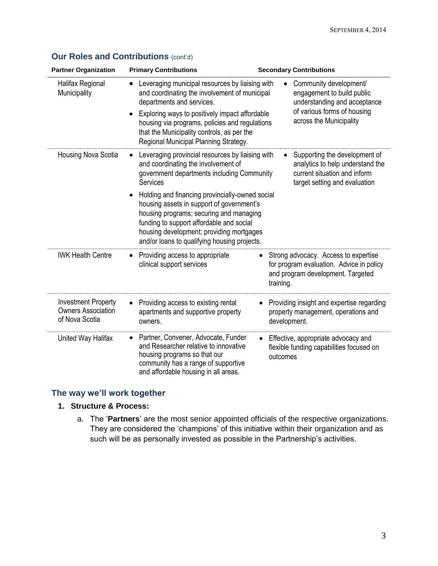| <b>Partner Organization</b>                                               | <b>Primary Contributions</b>                                                                                                                                                                                                                                                    | <b>Secondary Contributions</b>                                                                                                          |
|---------------------------------------------------------------------------|---------------------------------------------------------------------------------------------------------------------------------------------------------------------------------------------------------------------------------------------------------------------------------|-----------------------------------------------------------------------------------------------------------------------------------------|
| Halifax Regional<br>Municipality                                          | Leveraging municipal resources by liaising with<br>and coordinating the involvement of municipal<br>departments and services.                                                                                                                                                   | Community development/<br>engagement to build public<br>understanding and acceptance                                                    |
|                                                                           | Exploring ways to positively impact affordable<br>housing via programs, policies and regulations<br>that the Municipality controls, as per the<br>Regional Municipal Planning Strategy.                                                                                         | of various forms of housing<br>across the Municipality                                                                                  |
| Housing Nova Scotia                                                       | Leveraging provincial resources by liaising with<br>and coordinating the involvement of<br>government departments including Community<br>Services                                                                                                                               | Supporting the development of<br>analytics to help understand the<br>current situation and inform<br>target setting and evaluation      |
|                                                                           | Holding and financing provincially-owned social<br>housing assets in support of government's<br>housing programs; securing and managing<br>funding to support affordable and social<br>housing development; providing mortgages<br>and/or loans to qualifying housing projects. |                                                                                                                                         |
| <b>IWK Health Centre</b>                                                  | Providing access to appropriate<br>clinical support services                                                                                                                                                                                                                    | Strong advocacy. Access to expertise<br>٠<br>for program evaluation. Advice in policy<br>and program development. Targeted<br>training. |
| <b>Investment Property</b><br><b>Owners Association</b><br>of Nova Scotia | Providing access to existing rental<br>apartments and supportive property<br>owners.                                                                                                                                                                                            | Providing insight and expertise regarding<br>property management, operations and<br>development.                                        |
| United Way Halifax                                                        | Partner, Convener, Advocate, Funder<br>$\bullet$<br>and Researcher relative to innovative<br>housing programs so that our<br>community has a range of supportive<br>and affordable housing in all areas.                                                                        | Effective, appropriate advocacy and<br>flexible funding capabilities focused on<br>outcomes                                             |

# **Our Roles and Contributions (cont'd)**

#### **The way we'll work together**

### **1. Structure & Process:**

a. The '**Partners**' are the most senior appointed officials of the respective organizations. They are considered the 'champions' of this initiative within their organization and as such will be as personally invested as possible in the Partnership's activities.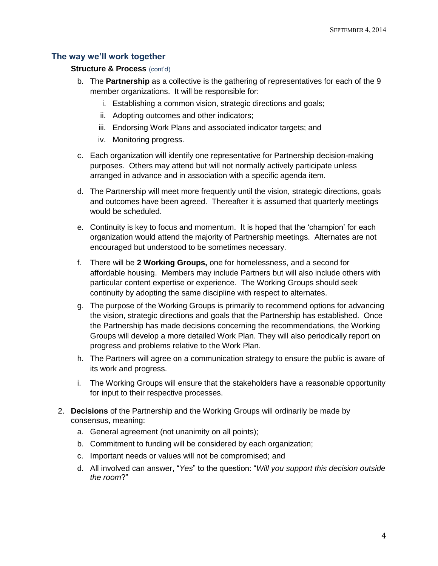#### **The way we'll work together**

#### **Structure & Process** (cont'd)

- b. The **Partnership** as a collective is the gathering of representatives for each of the 9 member organizations. It will be responsible for:
	- i. Establishing a common vision, strategic directions and goals;
	- ii. Adopting outcomes and other indicators;
	- iii. Endorsing Work Plans and associated indicator targets; and
	- iv. Monitoring progress.
- c. Each organization will identify one representative for Partnership decision-making purposes. Others may attend but will not normally actively participate unless arranged in advance and in association with a specific agenda item.
- d. The Partnership will meet more frequently until the vision, strategic directions, goals and outcomes have been agreed. Thereafter it is assumed that quarterly meetings would be scheduled.
- e. Continuity is key to focus and momentum. It is hoped that the 'champion' for each organization would attend the majority of Partnership meetings. Alternates are not encouraged but understood to be sometimes necessary.
- f. There will be **2 Working Groups,** one for homelessness, and a second for affordable housing. Members may include Partners but will also include others with particular content expertise or experience. The Working Groups should seek continuity by adopting the same discipline with respect to alternates.
- g. The purpose of the Working Groups is primarily to recommend options for advancing the vision, strategic directions and goals that the Partnership has established. Once the Partnership has made decisions concerning the recommendations, the Working Groups will develop a more detailed Work Plan. They will also periodically report on progress and problems relative to the Work Plan.
- h. The Partners will agree on a communication strategy to ensure the public is aware of its work and progress.
- i. The Working Groups will ensure that the stakeholders have a reasonable opportunity for input to their respective processes.
- 2. **Decisions** of the Partnership and the Working Groups will ordinarily be made by consensus, meaning:
	- a. General agreement (not unanimity on all points);
	- b. Commitment to funding will be considered by each organization;
	- c. Important needs or values will not be compromised; and
	- d. All involved can answer, "*Yes*" to the question: "*Will you support this decision outside the room*?"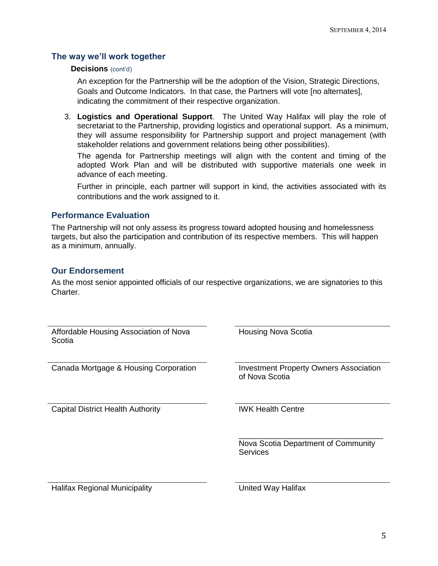#### **The way we'll work together**

#### **Decisions** (cont'd)

An exception for the Partnership will be the adoption of the Vision, Strategic Directions, Goals and Outcome Indicators. In that case, the Partners will vote [no alternates], indicating the commitment of their respective organization.

3. **Logistics and Operational Support**. The United Way Halifax will play the role of secretariat to the Partnership, providing logistics and operational support. As a minimum, they will assume responsibility for Partnership support and project management (with stakeholder relations and government relations being other possibilities).

The agenda for Partnership meetings will align with the content and timing of the adopted Work Plan and will be distributed with supportive materials one week in advance of each meeting.

Further in principle, each partner will support in kind, the activities associated with its contributions and the work assigned to it.

#### **Performance Evaluation**

The Partnership will not only assess its progress toward adopted housing and homelessness targets, but also the participation and contribution of its respective members. This will happen as a minimum, annually.

#### **Our Endorsement**

As the most senior appointed officials of our respective organizations, we are signatories to this Charter.

| Affordable Housing Association of Nova<br>Scotia | <b>Housing Nova Scotia</b>                                      |
|--------------------------------------------------|-----------------------------------------------------------------|
| Canada Mortgage & Housing Corporation            | <b>Investment Property Owners Association</b><br>of Nova Scotia |
| <b>Capital District Health Authority</b>         | <b>IWK Health Centre</b>                                        |
|                                                  | Nova Scotia Department of Community<br><b>Services</b>          |
| Halifax Regional Municipality                    | United Way Halifax                                              |